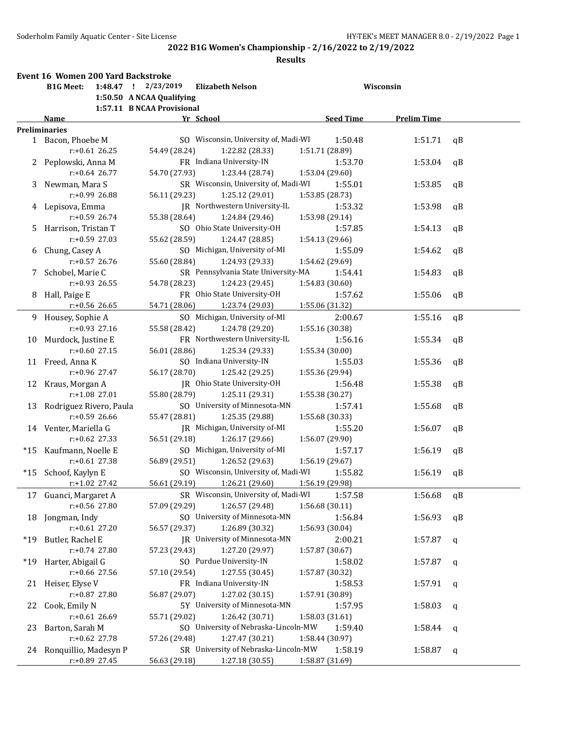|       | <b>Event 16 Women 200 Yard Backstroke</b> |                                                |                  |                    |    |
|-------|-------------------------------------------|------------------------------------------------|------------------|--------------------|----|
|       | <b>B1G Meet:</b>                          | 1:48.47 ! 2/23/2019<br><b>Elizabeth Nelson</b> |                  | Wisconsin          |    |
|       |                                           | 1:50.50 A NCAA Qualifying                      |                  |                    |    |
|       |                                           | 1:57.11 B NCAA Provisional                     |                  |                    |    |
|       | Name                                      | Yr School                                      | <b>Seed Time</b> | <b>Prelim Time</b> |    |
|       | <b>Preliminaries</b>                      |                                                |                  |                    |    |
|       | 1 Bacon, Phoebe M                         | SO Wisconsin, University of, Madi-WI           | 1:50.48          | 1:51.71            | qB |
|       | $r: +0.61$ 26.25                          | 54.49 (28.24)<br>1:22.82 (28.33)               | 1:51.71 (28.89)  |                    |    |
|       | 2 Peplowski, Anna M                       | FR Indiana University-IN                       | 1:53.70          | 1:53.04            | qB |
|       | $r: +0.64$ 26.77                          | 54.70 (27.93)<br>1:23.44 (28.74)               | 1:53.04 (29.60)  |                    |    |
| 3     | Newman, Mara S                            | SR Wisconsin, University of, Madi-WI           | 1:55.01          | 1:53.85            | qB |
|       | r:+0.99 26.88                             | 56.11 (29.23)<br>1:25.12 (29.01)               | 1:53.85 (28.73)  |                    |    |
|       | 4 Lepisova, Emma                          | JR Northwestern University-IL                  | 1:53.32          | 1:53.98            | qB |
|       | $r: +0.59$ 26.74                          | 55.38 (28.64)<br>1:24.84 (29.46)               | 1:53.98 (29.14)  |                    |    |
| 5.    | Harrison, Tristan T                       | SO Ohio State University-OH                    | 1:57.85          | 1:54.13            | qB |
|       | $r: +0.59$ 27.03                          | 55.62 (28.59)<br>1:24.47 (28.85)               | 1:54.13 (29.66)  |                    |    |
| 6     | Chung, Casey A                            | SO Michigan, University of-MI                  | 1:55.09          | 1:54.62            | qB |
|       | $r: +0.57$ 26.76                          | 55.60 (28.84)<br>1:24.93 (29.33)               | 1:54.62 (29.69)  |                    |    |
| 7.    | Schobel, Marie C                          | SR Pennsylvania State University-MA            | 1:54.41          | 1:54.83            | qB |
|       | $r: +0.93$ 26.55                          | 54.78 (28.23)<br>1:24.23 (29.45)               | 1:54.83 (30.60)  |                    |    |
|       |                                           | FR Ohio State University-OH                    | 1:57.62          | 1:55.06            | qB |
| 8     | Hall, Paige E<br>$r: +0.56$ 26.65         | 1:23.74 (29.03)                                |                  |                    |    |
|       |                                           | 54.71 (28.06)                                  | 1:55.06 (31.32)  |                    |    |
|       | 9 Housey, Sophie A                        | SO Michigan, University of-MI                  | 2:00.67          | 1:55.16            | qB |
|       | $r: +0.93$ 27.16                          | 55.58 (28.42)<br>1:24.78 (29.20)               | 1:55.16 (30.38)  |                    |    |
| 10    | Murdock, Justine E                        | FR Northwestern University-IL                  | 1:56.16          | 1:55.34            | qB |
|       | $r: +0.60$ 27.15                          | 56.01 (28.86)<br>1:25.34 (29.33)               | 1:55.34 (30.00)  |                    |    |
|       | 11 Freed, Anna K                          | SO Indiana University-IN                       | 1:55.03          | 1:55.36            | qB |
|       | r:+0.96 27.47                             | 56.17 (28.70)<br>1:25.42 (29.25)               | 1:55.36 (29.94)  |                    |    |
| 12    | Kraus, Morgan A                           | JR Ohio State University-OH                    | 1:56.48          | 1:55.38            | qB |
|       | r:+1.08 27.01                             | 55.80 (28.79)<br>1:25.11 (29.31)               | 1:55.38 (30.27)  |                    |    |
| 13    | Rodriguez Rivero, Paula                   | SO University of Minnesota-MN                  | 1:57.41          | 1:55.68            | qB |
|       | $r: +0.59$ 26.66                          | 55.47 (28.81)<br>1:25.35 (29.88)               | 1:55.68 (30.33)  |                    |    |
|       | 14 Venter, Mariella G                     | JR Michigan, University of-MI                  | 1:55.20          | 1:56.07            | qB |
|       | $r: +0.62$ 27.33                          | 56.51 (29.18)<br>1:26.17 (29.66)               | 1:56.07 (29.90)  |                    |    |
|       | *15 Kaufmann, Noelle E                    | SO Michigan, University of-MI                  | 1:57.17          | 1:56.19            | qB |
|       | $r: +0.61$ 27.38                          | 56.89 (29.51)<br>1:26.52 (29.63)               | 1:56.19 (29.67)  |                    |    |
| *15   | Schoof, Kaylyn E                          | SO Wisconsin, University of, Madi-WI           | 1:55.82          | 1:56.19            | qB |
|       | r:+1.02 27.42                             | 56.61 (29.19)<br>1:26.21 (29.60)               | 1:56.19 (29.98)  |                    |    |
|       | 17 Guanci, Margaret A                     | SR Wisconsin, University of, Madi-WI           | 1:57.58          | 1:56.68            | qB |
|       | r:+0.56 27.80                             | 1:26.57 (29.48)<br>57.09 (29.29)               | 1:56.68 (30.11)  |                    |    |
| 18    | Jongman, Indy                             | SO University of Minnesota-MN                  | 1:56.84          | 1:56.93            | qB |
|       | $r: +0.61$ 27.20                          | 1:26.89 (30.32)<br>56.57 (29.37)               | 1:56.93 (30.04)  |                    |    |
| $*19$ | Butler, Rachel E                          | JR University of Minnesota-MN                  | 2:00.21          | 1:57.87            | q  |
|       | $r: +0.74$ 27.80                          | 57.23 (29.43)<br>1:27.20 (29.97)               | 1:57.87 (30.67)  |                    |    |
| $*19$ | Harter, Abigail G                         | SO Purdue University-IN                        | 1:58.02          |                    |    |
|       | $r: +0.66$ 27.56                          | 1:27.55 (30.45)<br>57.10 (29.54)               | 1:57.87 (30.32)  | 1:57.87            | q  |
|       |                                           |                                                |                  |                    |    |
| 21    | Heiser, Elyse V                           | FR Indiana University-IN                       | 1:58.53          | 1:57.91            | q  |
|       | r:+0.87 27.80                             | 56.87 (29.07)<br>1:27.02 (30.15)               | 1:57.91 (30.89)  |                    |    |
| 22    | Cook, Emily N                             | 5Y University of Minnesota-MN                  | 1:57.95          | 1:58.03            | q  |
|       | $r: +0.61$ 26.69                          | 55.71 (29.02)<br>1:26.42 (30.71)               | 1:58.03 (31.61)  |                    |    |
| 23    | Barton, Sarah M                           | SO University of Nebraska-Lincoln-MW           | 1:59.40          | 1:58.44            | q  |
|       | r:+0.62 27.78                             | 1:27.47 (30.21)<br>57.26 (29.48)               | 1:58.44 (30.97)  |                    |    |
| 24    | Ronquillio, Madesyn P                     | SR University of Nebraska-Lincoln-MW           | 1:58.19          | 1:58.87            | q  |
|       | r:+0.89 27.45                             | 56.63 (29.18)<br>1:27.18 (30.55)               | 1:58.87 (31.69)  |                    |    |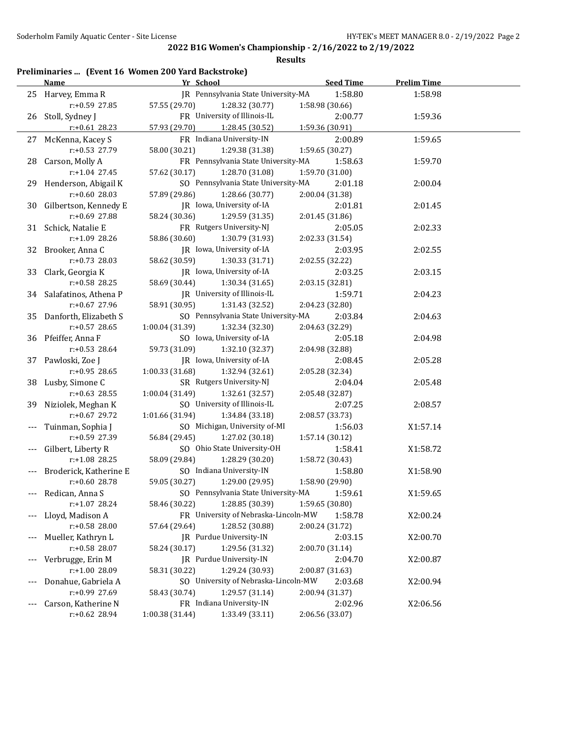|      | Preliminaries  (Event 16 Women 200 Yard Backstroke) |                  |                    |
|------|-----------------------------------------------------|------------------|--------------------|
| Name | Yr School                                           | <b>Seed Time</b> | <b>Prelim Time</b> |

|       | <u>name</u>              |                                      | <u>seea rime</u> | <u>Prelim Time</u> |  |
|-------|--------------------------|--------------------------------------|------------------|--------------------|--|
|       | 25 Harvey, Emma R        | JR Pennsylvania State University-MA  | 1:58.80          | 1:58.98            |  |
|       | r:+0.59 27.85            | 57.55 (29.70)<br>1:28.32 (30.77)     | 1:58.98 (30.66)  |                    |  |
|       | 26 Stoll, Sydney J       | FR University of Illinois-IL         | 2:00.77          | 1:59.36            |  |
|       | $r$ :+0.61 28.23         | 57.93 (29.70)<br>1:28.45 (30.52)     | 1:59.36 (30.91)  |                    |  |
|       | 27 McKenna, Kacey S      | FR Indiana University-IN             | 2:00.89          | 1:59.65            |  |
|       | r:+0.53 27.79            | 58.00 (30.21)<br>1:29.38 (31.38)     | 1:59.65 (30.27)  |                    |  |
|       | 28 Carson, Molly A       | FR Pennsylvania State University-MA  | 1:58.63          | 1:59.70            |  |
|       | $r.+1.04$ 27.45          | 57.62 (30.17)<br>1:28.70 (31.08)     | 1:59.70 (31.00)  |                    |  |
|       | 29 Henderson, Abigail K  | SO Pennsylvania State University-MA  | 2:01.18          | 2:00.04            |  |
|       | $r: +0.60$ 28.03         | 57.89 (29.86)<br>1:28.66 (30.77)     | 2:00.04 (31.38)  |                    |  |
|       | 30 Gilbertson, Kennedy E | JR Iowa, University of-IA            | 2:01.81          | 2:01.45            |  |
|       | r:+0.69 27.88            | 58.24 (30.36)<br>1:29.59 (31.35)     | 2:01.45 (31.86)  |                    |  |
|       | 31 Schick, Natalie E     | FR Rutgers University-NJ             | 2:05.05          | 2:02.33            |  |
|       | r:+1.09 28.26            | 58.86 (30.60)<br>1:30.79 (31.93)     | 2:02.33 (31.54)  |                    |  |
|       | 32 Brooker, Anna C       | JR Iowa, University of-IA            | 2:03.95          | 2:02.55            |  |
|       | r:+0.73 28.03            | 58.62 (30.59)<br>1:30.33 (31.71)     | 2:02.55 (32.22)  |                    |  |
|       | 33 Clark, Georgia K      | JR Iowa, University of-IA            | 2:03.25          | 2:03.15            |  |
|       | r:+0.58 28.25            | 58.69 (30.44)<br>1:30.34(31.65)      | 2:03.15 (32.81)  |                    |  |
|       | 34 Salafatinos, Athena P | JR University of Illinois-IL         | 1:59.71          | 2:04.23            |  |
|       | $r: +0.67$ 27.96         | 58.91 (30.95)<br>1:31.43 (32.52)     | 2:04.23 (32.80)  |                    |  |
|       | 35 Danforth, Elizabeth S | SO Pennsylvania State University-MA  | 2:03.84          | 2:04.63            |  |
|       | $r: +0.57$ 28.65         | 1:00.04 (31.39)<br>1:32.34 (32.30)   | 2:04.63 (32.29)  |                    |  |
|       | 36 Pfeiffer, Anna F      | SO Iowa, University of-IA            | 2:05.18          | 2:04.98            |  |
|       | $r: +0.53$ 28.64         | 59.73 (31.09)<br>1:32.10 (32.37)     | 2:04.98 (32.88)  |                    |  |
|       | 37 Pawloski, Zoe J       | JR Iowa, University of-IA            | 2:08.45          | 2:05.28            |  |
|       | $r: +0.95$ 28.65         | 1:00.33 (31.68)<br>1:32.94 (32.61)   | 2:05.28 (32.34)  |                    |  |
|       | 38 Lusby, Simone C       | SR Rutgers University-NJ             | 2:04.04          | 2:05.48            |  |
|       | $r: +0.63$ 28.55         | 1:00.04 (31.49)<br>1:32.61 (32.57)   | 2:05.48 (32.87)  |                    |  |
|       | 39 Niziolek, Meghan K    | SO University of Illinois-IL         | 2:07.25          | 2:08.57            |  |
|       | $r: +0.67$ 29.72         | 1:01.66 (31.94)<br>1:34.84 (33.18)   | 2:08.57 (33.73)  |                    |  |
|       | Tuinman, Sophia J        | SO Michigan, University of-MI        | 1:56.03          | X1:57.14           |  |
|       | r:+0.59 27.39            | 56.84 (29.45)<br>1:27.02 (30.18)     | 1:57.14 (30.12)  |                    |  |
|       | Gilbert, Liberty R       | SO Ohio State University-OH          | 1:58.41          | X1:58.72           |  |
|       | $r: +1.08$ 28.25         | 58.09 (29.84)<br>1:28.29 (30.20)     | 1:58.72 (30.43)  |                    |  |
|       | Broderick, Katherine E   | SO Indiana University-IN             | 1:58.80          | X1:58.90           |  |
|       | r:+0.60 28.78            | 59.05 (30.27)<br>1:29.00(29.95)      | 1:58.90 (29.90)  |                    |  |
|       | --- Redican, Anna S      | SO Pennsylvania State University-MA  | 1:59.61          | X1:59.65           |  |
|       | $r+1.07$ 28.24           | 58.46 (30.22)<br>1:28.85 (30.39)     | 1:59.65 (30.80)  |                    |  |
| $---$ | Lloyd, Madison A         | FR University of Nebraska-Lincoln-MW | 1:58.78          | X2:00.24           |  |
|       | r:+0.58 28.00            | 1:28.52 (30.88)<br>57.64 (29.64)     | 2:00.24 (31.72)  |                    |  |
| $---$ | Mueller, Kathryn L       | IR Purdue University-IN              | 2:03.15          | X2:00.70           |  |
|       | r:+0.58 28.07            | 1:29.56 (31.32)<br>58.24 (30.17)     | 2:00.70 (31.14)  |                    |  |
|       | Verbrugge, Erin M        | JR Purdue University-IN              | 2:04.70          | X2:00.87           |  |
|       | r:+1.00 28.09            | 58.31 (30.22)<br>1:29.24 (30.93)     | 2:00.87 (31.63)  |                    |  |
| ---   | Donahue, Gabriela A      | SO University of Nebraska-Lincoln-MW | 2:03.68          | X2:00.94           |  |
|       | r:+0.99 27.69            | 58.43 (30.74)<br>1:29.57 (31.14)     | 2:00.94 (31.37)  |                    |  |
|       | Carson, Katherine N      | FR Indiana University-IN             | 2:02.96          | X2:06.56           |  |
|       | r:+0.62 28.94            | 1:00.38 (31.44)<br>1:33.49 (33.11)   | 2:06.56 (33.07)  |                    |  |
|       |                          |                                      |                  |                    |  |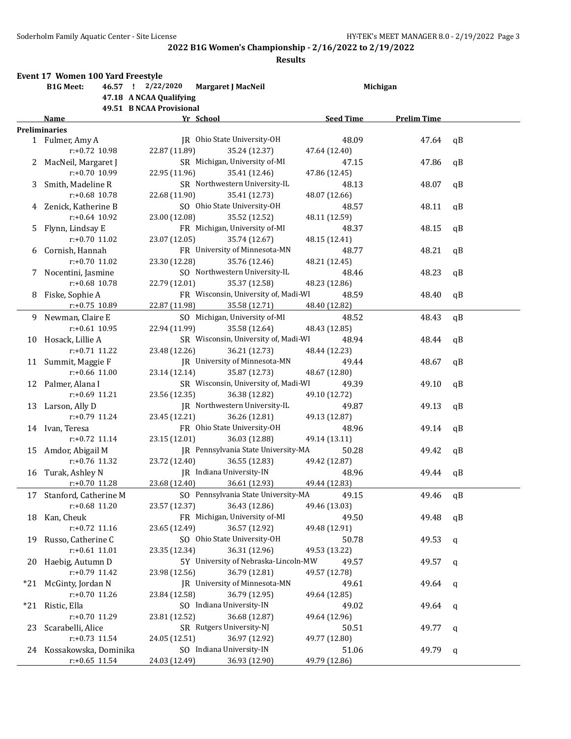|    | Event 17 Women 100 Yard Freestyle |                          |                                      |                  |                    |              |
|----|-----------------------------------|--------------------------|--------------------------------------|------------------|--------------------|--------------|
|    | <b>B1G Meet:</b>                  | 46.57 ! 2/22/2020        | Margaret J MacNeil                   |                  | Michigan           |              |
|    |                                   | 47.18 A NCAA Qualifying  |                                      |                  |                    |              |
|    |                                   | 49.51 B NCAA Provisional |                                      |                  |                    |              |
|    | Name                              |                          | Yr School                            | <b>Seed Time</b> | <b>Prelim Time</b> |              |
|    | <b>Preliminaries</b>              |                          |                                      |                  |                    |              |
|    | 1 Fulmer, Amy A                   |                          | IR Ohio State University-OH          | 48.09            | 47.64              | qB           |
|    | $r: +0.72$ 10.98                  | 22.87 (11.89)            | 35.24 (12.37)                        | 47.64 (12.40)    |                    |              |
|    | 2 MacNeil, Margaret J             |                          | SR Michigan, University of-MI        | 47.15            | 47.86              | qB           |
|    | r:+0.70 10.99                     | 22.95 (11.96)            | 35.41 (12.46)                        | 47.86 (12.45)    |                    |              |
| 3  | Smith, Madeline R                 |                          | SR Northwestern University-IL        | 48.13            | 48.07              | qB           |
|    | $r: +0.68$ 10.78                  | 22.68 (11.90)            | 35.41 (12.73)                        | 48.07 (12.66)    |                    |              |
|    | 4 Zenick, Katherine B             |                          | SO Ohio State University-OH          | 48.57            | 48.11              | qB           |
|    | $r: +0.64$ 10.92                  | 23.00 (12.08)            | 35.52 (12.52)                        | 48.11 (12.59)    |                    |              |
| 5. | Flynn, Lindsay E                  |                          | FR Michigan, University of-MI        | 48.37            | 48.15              | qB           |
|    | $r: +0.70$ 11.02                  | 23.07 (12.05)            | 35.74 (12.67)                        |                  |                    |              |
|    |                                   |                          | FR University of Minnesota-MN        | 48.15 (12.41)    |                    |              |
| 6  | Cornish, Hannah                   |                          |                                      | 48.77            | 48.21              | qB           |
|    | $r: +0.70$ 11.02                  | 23.30 (12.28)            | 35.76 (12.46)                        | 48.21 (12.45)    |                    |              |
| 7. | Nocentini, Jasmine                |                          | SO Northwestern University-IL        | 48.46            | 48.23              | qB           |
|    | $r: +0.68$ 10.78                  | 22.79 (12.01)            | 35.37 (12.58)                        | 48.23 (12.86)    |                    |              |
| 8  | Fiske, Sophie A                   |                          | FR Wisconsin, University of, Madi-WI | 48.59            | 48.40              | qB           |
|    | r:+0.75 10.89                     | 22.87 (11.98)            | 35.58 (12.71)                        | 48.40 (12.82)    |                    |              |
| 9. | Newman, Claire E                  |                          | SO Michigan, University of-MI        | 48.52            | 48.43              | qB           |
|    | $r: +0.61$ 10.95                  | 22.94 (11.99)            | 35.58 (12.64)                        | 48.43 (12.85)    |                    |              |
| 10 | Hosack, Lillie A                  |                          | SR Wisconsin, University of, Madi-WI | 48.94            | 48.44              | qB           |
|    | $r: +0.71$ 11.22                  | 23.48 (12.26)            | 36.21 (12.73)                        | 48.44 (12.23)    |                    |              |
|    | 11 Summit, Maggie F               |                          | JR University of Minnesota-MN        | 49.44            | 48.67              | qB           |
|    | $r: +0.66$ 11.00                  | 23.14 (12.14)            | 35.87 (12.73)                        | 48.67 (12.80)    |                    |              |
|    | 12 Palmer, Alana I                |                          | SR Wisconsin, University of, Madi-WI | 49.39            | 49.10              | qB           |
|    | $r: +0.69$ 11.21                  | 23.56 (12.35)            | 36.38 (12.82)                        | 49.10 (12.72)    |                    |              |
|    | 13 Larson, Ally D                 |                          | JR Northwestern University-IL        | 49.87            | 49.13              | qB           |
|    | $r: +0.79$ 11.24                  | 23.45 (12.21)            | 36.26 (12.81)                        | 49.13 (12.87)    |                    |              |
|    | 14 Ivan, Teresa                   |                          | FR Ohio State University-OH          | 48.96            | 49.14              | qB           |
|    | $r: +0.72$ 11.14                  | 23.15 (12.01)            | 36.03 (12.88)                        | 49.14 (13.11)    |                    |              |
|    |                                   |                          |                                      |                  |                    |              |
| 15 | Amdor, Abigail M                  |                          | JR Pennsylvania State University-MA  | 50.28            | 49.42              | qB           |
|    | $r: +0.76$ 11.32                  | 23.72 (12.40)            | 36.55 (12.83)                        | 49.42 (12.87)    |                    |              |
| 16 | Turak, Ashley N                   |                          | JR Indiana University-IN             | 48.96            | 49.44              | qВ           |
|    | r:+0.70 11.28                     | 23.68 (12.40)            | 36.61 (12.93)                        | 49.44 (12.83)    |                    |              |
| 17 | Stanford, Catherine M             |                          | SO Pennsylvania State University-MA  | 49.15            | 49.46              | qB           |
|    | r:+0.68 11.20                     | 23.57 (12.37)            | 36.43 (12.86)                        | 49.46 (13.03)    |                    |              |
| 18 | Kan, Cheuk                        |                          | FR Michigan, University of-MI        | 49.50            | 49.48              | qB           |
|    | r:+0.72 11.16                     | 23.65 (12.49)            | 36.57 (12.92)                        | 49.48 (12.91)    |                    |              |
| 19 | Russo, Catherine C                |                          | SO Ohio State University-OH          | 50.78            | 49.53              | $\mathbf{q}$ |
|    | $r: +0.61$ 11.01                  | 23.35 (12.34)            | 36.31 (12.96)                        | 49.53 (13.22)    |                    |              |
| 20 | Haebig, Autumn D                  |                          | 5Y University of Nebraska-Lincoln-MW | 49.57            | 49.57              | q            |
|    | r:+0.79 11.42                     | 23.98 (12.56)            | 36.79 (12.81)                        | 49.57 (12.78)    |                    |              |
|    | *21 McGinty, Jordan N             |                          | JR University of Minnesota-MN        | 49.61            | 49.64              | $\mathbf q$  |
|    | r:+0.70 11.26                     | 23.84 (12.58)            | 36.79 (12.95)                        | 49.64 (12.85)    |                    |              |
|    | *21 Ristic, Ella                  |                          | SO Indiana University-IN             | 49.02            | 49.64              |              |
|    | r:+0.70 11.29                     |                          | 36.68 (12.87)                        |                  |                    | q            |
|    |                                   | 23.81 (12.52)            | SR Rutgers University-NJ             | 49.64 (12.96)    |                    |              |
| 23 | Scarabelli, Alice                 |                          |                                      | 50.51            | 49.77              | q            |
|    | r:+0.73 11.54                     | 24.05 (12.51)            | 36.97 (12.92)                        | 49.77 (12.80)    |                    |              |
|    | 24 Kossakowska, Dominika          |                          | SO Indiana University-IN             | 51.06            | 49.79              | q            |
|    | $r: +0.65$ 11.54                  | 24.03 (12.49)            | 36.93 (12.90)                        | 49.79 (12.86)    |                    |              |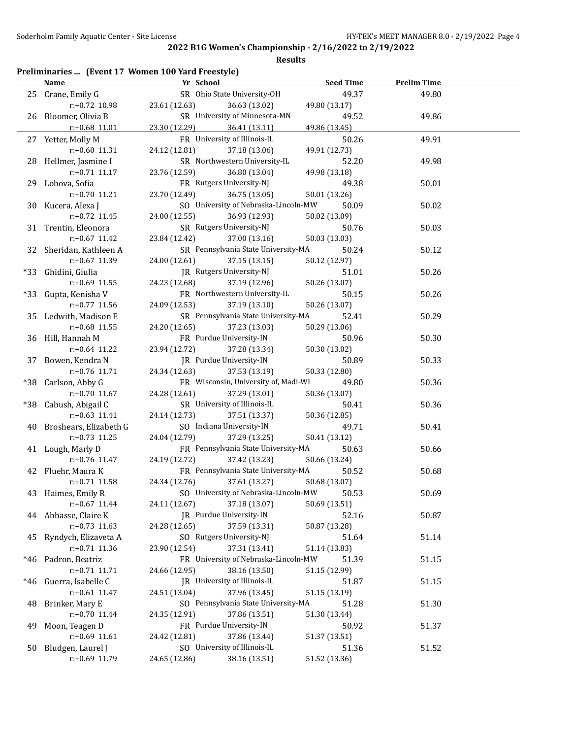|       |                           | Preliminaries  (Event 17 Women 100 Yard Freestyle) |                  |                    |
|-------|---------------------------|----------------------------------------------------|------------------|--------------------|
|       | <u>Name</u>               | Yr School                                          | <b>Seed Time</b> | <b>Prelim Time</b> |
|       | 25 Crane, Emily G         | SR Ohio State University-OH                        | 49.37            | 49.80              |
|       | r:+0.72 10.98             | 23.61 (12.63)<br>36.63 (13.02)                     | 49.80 (13.17)    |                    |
|       | 26 Bloomer, Olivia B      | SR University of Minnesota-MN                      | 49.52            | 49.86              |
|       | $r+0.68$ 11.01            | 23.30 (12.29)<br>36.41 (13.11)                     | 49.86 (13.45)    |                    |
|       | 27 Yetter, Molly M        | FR University of Illinois-IL                       | 50.26            | 49.91              |
|       | $r: +0.60$ 11.31          | 24.12 (12.81)<br>37.18 (13.06)                     | 49.91 (12.73)    |                    |
|       | 28 Hellmer, Jasmine I     | SR Northwestern University-IL                      | 52.20            | 49.98              |
|       | r:+0.71 11.17             | 23.76 (12.59)<br>36.80 (13.04)                     | 49.98 (13.18)    |                    |
|       | 29 Lobova, Sofia          | FR Rutgers University-NJ                           | 49.38            | 50.01              |
|       | $r: +0.70$ 11.21          | 23.70 (12.49)<br>36.75 (13.05)                     | 50.01 (13.26)    |                    |
|       | 30 Kucera, Alexa J        | SO University of Nebraska-Lincoln-MW               | 50.09            | 50.02              |
|       | $r: +0.72$ 11.45          | 24.00 (12.55)<br>36.93 (12.93)                     | 50.02 (13.09)    |                    |
|       | 31 Trentin, Eleonora      | SR Rutgers University-NJ                           | 50.76            | 50.03              |
|       | $r: +0.67$ 11.42          | 23.84 (12.42)<br>37.00 (13.16)                     | 50.03 (13.03)    |                    |
|       | 32 Sheridan, Kathleen A   | SR Pennsylvania State University-MA                | 50.24            | 50.12              |
|       | r:+0.67 11.39             | 24.00 (12.61)<br>37.15 (13.15)                     | 50.12 (12.97)    |                    |
| $*33$ | Ghidini, Giulia           | JR Rutgers University-NJ                           | 51.01            | 50.26              |
|       | r:+0.69 11.55             | 24.23 (12.68)<br>37.19 (12.96)                     | 50.26 (13.07)    |                    |
| $*33$ | Gupta, Kenisha V          | FR Northwestern University-IL                      | 50.15            | 50.26              |
|       | $r: +0.77$ 11.56          | 37.19 (13.10)<br>24.09 (12.53)                     | 50.26 (13.07)    |                    |
|       | 35 Ledwith, Madison E     | SR Pennsylvania State University-MA                | 52.41            | 50.29              |
|       | $r: +0.68$ 11.55          | 37.23 (13.03)<br>24.20 (12.65)                     | 50.29 (13.06)    |                    |
|       | 36 Hill, Hannah M         | FR Purdue University-IN                            | 50.96            | 50.30              |
|       | $r: +0.64$ 11.22          | 37.28 (13.34)<br>23.94 (12.72)                     | 50.30 (13.02)    |                    |
| 37    | Bowen, Kendra N           | JR Purdue University-IN                            | 50.89            | 50.33              |
|       | r:+0.76 11.71             | 24.34 (12.63)<br>37.53 (13.19)                     | 50.33 (12.80)    |                    |
|       | *38 Carlson, Abby G       | FR Wisconsin, University of, Madi-WI               | 49.80            | 50.36              |
|       | $r: +0.70$ 11.67          | 37.29 (13.01)<br>24.28 (12.61)                     | 50.36 (13.07)    |                    |
|       | *38 Cabush, Abigail C     | SR University of Illinois-IL                       | 50.41            | 50.36              |
|       | $r: +0.63$ 11.41          | 24.14 (12.73)<br>37.51 (13.37)                     | 50.36 (12.85)    |                    |
|       | 40 Broshears, Elizabeth G | SO Indiana University-IN                           | 49.71            | 50.41              |
|       | $r: +0.73$ 11.25          | 24.04 (12.79)<br>37.29 (13.25)                     | 50.41 (13.12)    |                    |
|       | 41 Lough, Marly D         | FR Pennsylvania State University-MA                | 50.63            | 50.66              |
|       | $r: +0.76$ 11.47          | 24.19 (12.72)<br>37.42 (13.23)                     | 50.66 (13.24)    |                    |
|       | 42 Fluehr, Maura K        | FR Pennsylvania State University-MA                | 50.52            | 50.68              |
|       | $r: +0.71$ 11.58          | 24.34 (12.76) 37.61 (13.27) 50.68 (13.07)          |                  |                    |
| 43    | Haimes, Emily R           | SO University of Nebraska-Lincoln-MW               | 50.53            | 50.69              |
|       | r:+0.67 11.44             | 24.11 (12.67)<br>37.18 (13.07)                     | 50.69 (13.51)    |                    |
| 44    | Abbasse, Claire K         | JR Purdue University-IN                            | 52.16            | 50.87              |
|       | $r: +0.73$ 11.63          | 24.28 (12.65)<br>37.59 (13.31)                     | 50.87 (13.28)    |                    |
| 45    | Ryndych, Elizaveta A      | SO Rutgers University-NJ                           | 51.64            | 51.14              |
|       | r:+0.71 11.36             | 37.31 (13.41)<br>23.90 (12.54)                     | 51.14 (13.83)    |                    |
| $*46$ | Padron, Beatriz           | FR University of Nebraska-Lincoln-MW               | 51.39            | 51.15              |
|       | r:+0.71 11.71             | 24.66 (12.95)<br>38.16 (13.50)                     | 51.15 (12.99)    |                    |
| *46   | Guerra, Isabelle C        | JR University of Illinois-IL                       | 51.87            | 51.15              |
|       | r:+0.61 11.47             | 24.51 (13.04)<br>37.96 (13.45)                     | 51.15 (13.19)    |                    |
| 48    | Brinker, Mary E           | SO Pennsylvania State University-MA                | 51.28            | 51.30              |
|       | r:+0.70 11.44             | 24.35 (12.91)<br>37.86 (13.51)                     | 51.30 (13.44)    |                    |
| 49    | Moon, Teagen D            | FR Purdue University-IN                            | 50.92            | 51.37              |
|       | r:+0.69 11.61             | 24.42 (12.81)<br>37.86 (13.44)                     | 51.37 (13.51)    |                    |
| 50    | Bludgen, Laurel J         | SO University of Illinois-IL                       | 51.36            | 51.52              |
|       | r:+0.69 11.79             | 38.16 (13.51)<br>24.65 (12.86)                     | 51.52 (13.36)    |                    |
|       |                           |                                                    |                  |                    |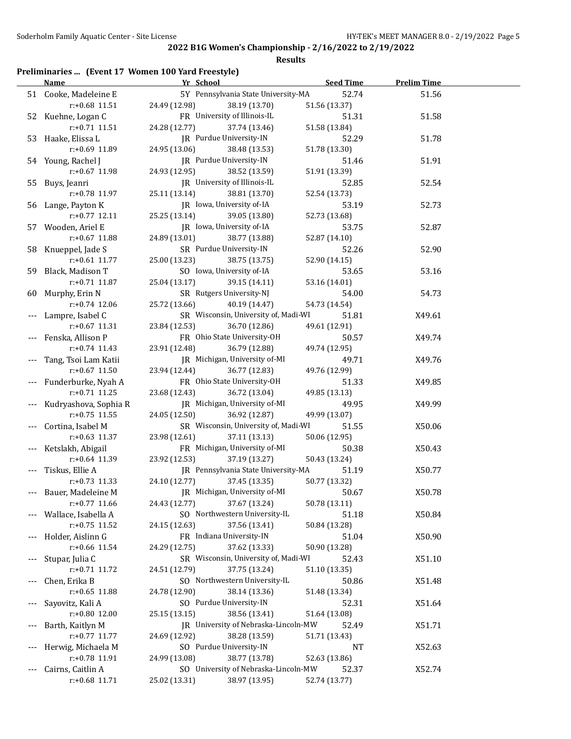**Results**

## **Preliminaries ... (Event 17 Women 100 Yard Freestyle)**

|       | Name                              | Yr School                            | <b>Seed Time</b> | <b>Prelim Time</b> |  |
|-------|-----------------------------------|--------------------------------------|------------------|--------------------|--|
|       | 51 Cooke, Madeleine E             | 5Y Pennsylvania State University-MA  | 52.74            | 51.56              |  |
|       | $r: +0.68$ 11.51                  | 24.49 (12.98)<br>38.19 (13.70)       | 51.56 (13.37)    |                    |  |
|       | 52 Kuehne, Logan C                | FR University of Illinois-IL         | 51.31            | 51.58              |  |
|       | $r: +0.71$ 11.51                  | 24.28 (12.77)<br>37.74 (13.46)       | 51.58 (13.84)    |                    |  |
|       | 53 Haake, Elissa L                | JR Purdue University-IN              | 52.29            | 51.78              |  |
|       | r:+0.69 11.89                     | 24.95 (13.06)<br>38.48 (13.53)       | 51.78 (13.30)    |                    |  |
|       | 54 Young, Rachel J                | JR Purdue University-IN              | 51.46            | 51.91              |  |
|       | r:+0.67 11.98                     | 24.93 (12.95)<br>38.52 (13.59)       | 51.91 (13.39)    |                    |  |
|       | 55 Buys, Jeanri                   | JR University of Illinois-IL         | 52.85            | 52.54              |  |
|       | r:+0.78 11.97                     | 25.11 (13.14)<br>38.81 (13.70)       | 52.54 (13.73)    |                    |  |
|       | 56 Lange, Payton K                | JR Iowa, University of-IA            | 53.19            | 52.73              |  |
|       | $r: +0.77$ 12.11                  | 25.25 (13.14)<br>39.05 (13.80)       | 52.73 (13.68)    |                    |  |
|       | 57 Wooden, Ariel E                | JR Iowa, University of-IA            | 53.75            | 52.87              |  |
|       | r:+0.67 11.88                     | 24.89 (13.01)<br>38.77 (13.88)       | 52.87 (14.10)    |                    |  |
|       |                                   | SR Purdue University-IN              |                  |                    |  |
|       | 58 Knueppel, Jade S               |                                      | 52.26            | 52.90              |  |
|       | $r$ :+0.61 11.77                  | 25.00 (13.23)<br>38.75 (13.75)       | 52.90 (14.15)    |                    |  |
|       | 59 Black, Madison T               | SO Iowa, University of-IA            | 53.65            | 53.16              |  |
|       | $r: +0.71$ 11.87                  | 25.04 (13.17)<br>39.15 (14.11)       | 53.16 (14.01)    |                    |  |
|       | 60 Murphy, Erin N                 | SR Rutgers University-NJ             | 54.00            | 54.73              |  |
|       | $r: +0.74$ 12.06                  | 25.72 (13.66)<br>40.19 (14.47)       | 54.73 (14.54)    |                    |  |
|       | Lampre, Isabel C                  | SR Wisconsin, University of, Madi-WI | 51.81            | X49.61             |  |
|       | $r: +0.67$ 11.31                  | 23.84 (12.53)<br>36.70 (12.86)       | 49.61 (12.91)    |                    |  |
|       | Fenska, Allison P                 | FR Ohio State University-OH          | 50.57            | X49.74             |  |
|       | $r: +0.74$ 11.43                  | 23.91 (12.48)<br>36.79 (12.88)       | 49.74 (12.95)    |                    |  |
|       | Tang, Tsoi Lam Katii              | JR Michigan, University of-MI        | 49.71            | X49.76             |  |
|       | $r: +0.67$ 11.50                  | 23.94 (12.44)<br>36.77 (12.83)       | 49.76 (12.99)    |                    |  |
|       | Funderburke, Nyah A               | FR Ohio State University-OH          | 51.33            | X49.85             |  |
|       | $r: +0.71$ 11.25                  | 23.68 (12.43)<br>36.72 (13.04)       | 49.85 (13.13)    |                    |  |
|       | Kudryashova, Sophia R             | JR Michigan, University of-MI        | 49.95            | X49.99             |  |
|       | $r: +0.75$ 11.55                  | 24.05 (12.50)<br>36.92 (12.87)       | 49.99 (13.07)    |                    |  |
|       | Cortina, Isabel M                 | SR Wisconsin, University of, Madi-WI | 51.55            | X50.06             |  |
|       | $r: +0.63$ 11.37                  | 23.98 (12.61)<br>37.11 (13.13)       | 50.06 (12.95)    |                    |  |
|       | Ketslakh, Abigail                 | FR Michigan, University of-MI        | 50.38            | X50.43             |  |
|       | $r: +0.64$ 11.39                  | 37.19 (13.27)<br>23.92 (12.53)       | 50.43 (13.24)    |                    |  |
|       | Tiskus, Ellie A                   | JR Pennsylvania State University-MA  | 51.19            | X50.77             |  |
|       | $r: +0.73$ 11.33                  | 24.10 (12.77)<br>37.45 (13.35)       | 50.77 (13.32)    |                    |  |
|       | --- Bauer, Madeleine M            | JR Michigan, University of-MI        | 50.67            | X50.78             |  |
|       | $r: +0.77$ 11.66                  | 24.43 (12.77)<br>37.67 (13.24)       | 50.78 (13.11)    |                    |  |
|       | Wallace, Isabella A               | SO Northwestern University-IL        | 51.18            | X50.84             |  |
|       | r:+0.75 11.52                     | 24.15 (12.63)<br>37.56 (13.41)       | 50.84 (13.28)    |                    |  |
| $---$ | Holder, Aislinn G                 | FR Indiana University-IN             | 51.04            | X50.90             |  |
|       | r:+0.66 11.54                     | 37.62 (13.33)<br>24.29 (12.75)       | 50.90 (13.28)    |                    |  |
| $---$ | Stupar, Julia C                   | SR Wisconsin, University of, Madi-WI | 52.43            | X51.10             |  |
|       | $r: +0.71$ 11.72                  | 24.51 (12.79)<br>37.75 (13.24)       | 51.10 (13.35)    |                    |  |
|       |                                   | SO Northwestern University-IL        |                  | X51.48             |  |
| $---$ | Chen, Erika B<br>$r: +0.65$ 11.88 |                                      | 50.86            |                    |  |
|       |                                   | 38.14 (13.36)<br>24.78 (12.90)       | 51.48 (13.34)    |                    |  |
|       | Sayovitz, Kali A                  | SO Purdue University-IN              | 52.31            | X51.64             |  |
|       | r:+0.80 12.00                     | 38.56 (13.41)<br>25.15 (13.15)       | 51.64 (13.08)    |                    |  |
|       | Barth, Kaitlyn M                  | JR University of Nebraska-Lincoln-MW | 52.49            | X51.71             |  |
|       | r:+0.77 11.77                     | 24.69 (12.92)<br>38.28 (13.59)       | 51.71 (13.43)    |                    |  |
|       | Herwig, Michaela M                | SO Purdue University-IN              | NT               | X52.63             |  |
|       | r:+0.78 11.91                     | 24.99 (13.08)<br>38.77 (13.78)       | 52.63 (13.86)    |                    |  |
|       | Cairns, Caitlin A                 | SO University of Nebraska-Lincoln-MW | 52.37            | X52.74             |  |
|       | r:+0.68 11.71                     | 25.02 (13.31)<br>38.97 (13.95)       | 52.74 (13.77)    |                    |  |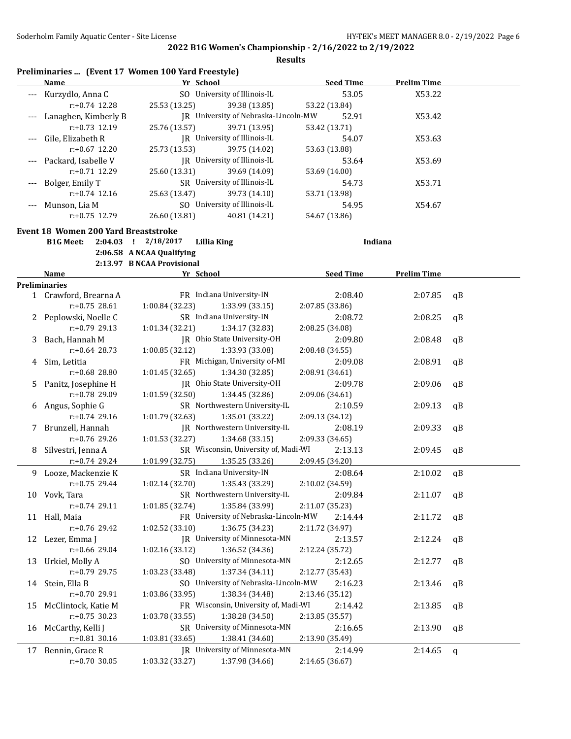**Results**

| Preliminaries  (Event 17 Women 100 Yard Freestyle) |  |  |  |
|----------------------------------------------------|--|--|--|
|----------------------------------------------------|--|--|--|

|       | Name                    | Yr School     |                                      | <b>Seed Time</b> |       | <b>Prelim Time</b> |  |
|-------|-------------------------|---------------|--------------------------------------|------------------|-------|--------------------|--|
| $---$ | Kurzydlo, Anna C        |               | SO University of Illinois-IL         |                  | 53.05 | X53.22             |  |
|       | $r: +0.74$ 12.28        | 25.53 (13.25) | 39.38 (13.85)                        | 53.22 (13.84)    |       |                    |  |
|       | Lanaghen, Kimberly B    |               | IR University of Nebraska-Lincoln-MW |                  | 52.91 | X53.42             |  |
|       | $r: +0.73$ 12.19        | 25.76 (13.57) | 39.71 (13.95)                        | 53.42 (13.71)    |       |                    |  |
|       | Gile, Elizabeth R       |               | IR University of Illinois-IL         |                  | 54.07 | X53.63             |  |
|       | $r: +0.67$ 12.20        | 25.73 (13.53) | 39.75 (14.02)                        | 53.63 (13.88)    |       |                    |  |
|       | --- Packard, Isabelle V |               | IR University of Illinois-IL         |                  | 53.64 | X53.69             |  |
|       | $r: +0.71$ 12.29        | 25.60 (13.31) | 39.69 (14.09)                        | 53.69 (14.00)    |       |                    |  |
| $---$ | Bolger, Emily T         |               | SR University of Illinois-IL         |                  | 54.73 | X53.71             |  |
|       | $r: +0.74$ 12.16        | 25.63 (13.47) | 39.73 (14.10)                        | 53.71 (13.98)    |       |                    |  |
|       | Munson, Lia M           | SO.           | University of Illinois-IL            |                  | 54.95 | X54.67             |  |
|       | $r: +0.75$ 12.79        | 26.60 (13.81) | 40.81 (14.21)                        | 54.67 (13.86)    |       |                    |  |

**Event 18 Women 200 Yard Breaststroke**

**B1G Meet: 2:04.03 ! 2/18/2017 Lillia King Indiana**

**2:06.58 A NCAA Qualifying**

**2:13.97 B NCAA Provisional**

| Yr School<br><b>Seed Time</b><br><b>Prelim Time</b><br>Name<br><b>Preliminaries</b><br>1 Crawford, Brearna A<br>FR Indiana University-IN<br>2:08.40<br>2:07.85<br>$\mathsf{q}$<br>$r: +0.75$ 28.61<br>1:00.84 (32.23)<br>1:33.99 (33.15)<br>2:07.85 (33.86)<br>SR Indiana University-IN<br>Peplowski, Noelle C<br>2:08.72<br>2:08.25<br>qB<br>$r: +0.79$ 29.13<br>1:01.34 (32.21)<br>1:34.17 (32.83)<br>2:08.25 (34.08)<br>JR Ohio State University-OH<br>Bach, Hannah M<br>2:09.80<br>2:08.48<br>$\mathsf{q}$<br>3.<br>$r: +0.64$ 28.73<br>1:00.85 (32.12)<br>1:33.93 (33.08)<br>2:08.48 (34.55)<br>FR Michigan, University of-MI<br>2:09.08<br>2:08.91<br>Sim, Letitia<br>aB<br>4<br>r:+0.68 28.80<br>1:01.45(32.65)<br>1:34.30 (32.85)<br>2:08.91 (34.61)<br>JR Ohio State University-OH<br>5 Panitz, Josephine H<br>2:09.78<br>2:09.06<br>$\mathsf{q}$<br>r:+0.78 29.09<br>1:01.59 (32.50)<br>1:34.45 (32.86)<br>2:09.06 (34.61)<br>SR Northwestern University-IL<br>6 Angus, Sophie G<br>2:09.13<br>2:10.59<br>$\mathsf{q}$<br>1:01.79 (32.63)<br>1:35.01 (33.22)<br>$r: +0.74$ 29.16<br>2:09.13 (34.12)<br>JR Northwestern University-IL<br>Brunzell, Hannah<br>2:08.19<br>2:09.33<br>$\mathsf{q}$<br>7.<br>$r: +0.76$ 29.26<br>1:01.53(32.27)<br>1:34.68(33.15)<br>2:09.33 (34.65)<br>SR Wisconsin, University of, Madi-WI<br>Silvestri, Jenna A<br>2:13.13<br>2:09.45<br>$\mathsf{q}$<br>8<br>$r: +0.74$ 29.24<br>1:01.99(32.75)<br>1:35.25 (33.26)<br>2:09.45 (34.20)<br>9 Looze, Mackenzie K<br>SR Indiana University-IN<br>2:08.64<br>2:10.02<br>qB<br>$r: +0.75$ 29.44<br>1:02.14 (32.70)<br>1:35.43 (33.29)<br>2:10.02 (34.59)<br>SR Northwestern University-IL<br>10 Vovk, Tara<br>2:09.84<br>2:11.07<br>$\mathsf{q}$<br>$r: +0.74$ 29.11<br>1:01.85 (32.74)<br>1:35.84 (33.99)<br>2:11.07 (35.23)<br>FR University of Nebraska-Lincoln-MW<br>11 Hall, Maia<br>2:14.44<br>2:11.72<br>$\mathsf{q}$<br>$r: +0.76$ 29.42<br>1:02.52(33.10)<br>1:36.75 (34.23)<br>2:11.72 (34.97)<br>JR University of Minnesota-MN<br>2:13.57<br>12 Lezer, Emma J<br>2:12.24<br>$\mathsf{q}$<br>$r: +0.66$ 29.04<br>1:02.16(33.12)<br>1:36.52 (34.36)<br>2:12.24 (35.72)<br>SO University of Minnesota-MN<br>Urkiel, Molly A<br>2:12.65<br>2:12.77<br>$\mathsf{q}$<br>13<br>$r: +0.79$ 29.75<br>1:03.23 (33.48)<br>1:37.34(34.11)<br>2:12.77 (35.43)<br>SO University of Nebraska-Lincoln-MW<br>14 Stein, Ella B<br>2:16.23<br>2:13.46<br>$\mathsf{q}$<br>$r: +0.70$ 29.91<br>1:03.86 (33.95)<br>1:38.34 (34.48)<br>2:13.46 (35.12)<br>FR Wisconsin, University of, Madi-WI<br>McClintock, Katie M<br>2:14.42<br>2:13.85<br>qB<br>15<br>$r: +0.75$ 30.23<br>1:38.28 (34.50)<br>2:13.85 (35.57)<br>1:03.78 (33.55)<br>SR University of Minnesota-MN<br>McCarthy, Kelli J<br>2:16.65<br>2:13.90<br>$\alpha$ <sub>B</sub><br>16<br>1:03.81 (33.65)<br>1:38.41 (34.60)<br>$r: +0.81$ 30.16<br>2:13.90 (35.49)<br>IR University of Minnesota-MN<br>Bennin, Grace R<br>2:14.99<br>2:14.65<br>17<br>$\mathsf{q}$<br>1:03.32 (33.27)<br>2:14.65 (36.67)<br>$r: +0.70$ 30.05<br>1:37.98 (34.66) |  |  |  |
|----------------------------------------------------------------------------------------------------------------------------------------------------------------------------------------------------------------------------------------------------------------------------------------------------------------------------------------------------------------------------------------------------------------------------------------------------------------------------------------------------------------------------------------------------------------------------------------------------------------------------------------------------------------------------------------------------------------------------------------------------------------------------------------------------------------------------------------------------------------------------------------------------------------------------------------------------------------------------------------------------------------------------------------------------------------------------------------------------------------------------------------------------------------------------------------------------------------------------------------------------------------------------------------------------------------------------------------------------------------------------------------------------------------------------------------------------------------------------------------------------------------------------------------------------------------------------------------------------------------------------------------------------------------------------------------------------------------------------------------------------------------------------------------------------------------------------------------------------------------------------------------------------------------------------------------------------------------------------------------------------------------------------------------------------------------------------------------------------------------------------------------------------------------------------------------------------------------------------------------------------------------------------------------------------------------------------------------------------------------------------------------------------------------------------------------------------------------------------------------------------------------------------------------------------------------------------------------------------------------------------------------------------------------------------------------------------------------------------------------------------------------------------------------------------------------------------------------------------------------------------------------------------------------------------------------------------------------------------------------------------------------------------------------------------------------------------------|--|--|--|
|                                                                                                                                                                                                                                                                                                                                                                                                                                                                                                                                                                                                                                                                                                                                                                                                                                                                                                                                                                                                                                                                                                                                                                                                                                                                                                                                                                                                                                                                                                                                                                                                                                                                                                                                                                                                                                                                                                                                                                                                                                                                                                                                                                                                                                                                                                                                                                                                                                                                                                                                                                                                                                                                                                                                                                                                                                                                                                                                                                                                                                                                                  |  |  |  |
|                                                                                                                                                                                                                                                                                                                                                                                                                                                                                                                                                                                                                                                                                                                                                                                                                                                                                                                                                                                                                                                                                                                                                                                                                                                                                                                                                                                                                                                                                                                                                                                                                                                                                                                                                                                                                                                                                                                                                                                                                                                                                                                                                                                                                                                                                                                                                                                                                                                                                                                                                                                                                                                                                                                                                                                                                                                                                                                                                                                                                                                                                  |  |  |  |
|                                                                                                                                                                                                                                                                                                                                                                                                                                                                                                                                                                                                                                                                                                                                                                                                                                                                                                                                                                                                                                                                                                                                                                                                                                                                                                                                                                                                                                                                                                                                                                                                                                                                                                                                                                                                                                                                                                                                                                                                                                                                                                                                                                                                                                                                                                                                                                                                                                                                                                                                                                                                                                                                                                                                                                                                                                                                                                                                                                                                                                                                                  |  |  |  |
|                                                                                                                                                                                                                                                                                                                                                                                                                                                                                                                                                                                                                                                                                                                                                                                                                                                                                                                                                                                                                                                                                                                                                                                                                                                                                                                                                                                                                                                                                                                                                                                                                                                                                                                                                                                                                                                                                                                                                                                                                                                                                                                                                                                                                                                                                                                                                                                                                                                                                                                                                                                                                                                                                                                                                                                                                                                                                                                                                                                                                                                                                  |  |  |  |
|                                                                                                                                                                                                                                                                                                                                                                                                                                                                                                                                                                                                                                                                                                                                                                                                                                                                                                                                                                                                                                                                                                                                                                                                                                                                                                                                                                                                                                                                                                                                                                                                                                                                                                                                                                                                                                                                                                                                                                                                                                                                                                                                                                                                                                                                                                                                                                                                                                                                                                                                                                                                                                                                                                                                                                                                                                                                                                                                                                                                                                                                                  |  |  |  |
|                                                                                                                                                                                                                                                                                                                                                                                                                                                                                                                                                                                                                                                                                                                                                                                                                                                                                                                                                                                                                                                                                                                                                                                                                                                                                                                                                                                                                                                                                                                                                                                                                                                                                                                                                                                                                                                                                                                                                                                                                                                                                                                                                                                                                                                                                                                                                                                                                                                                                                                                                                                                                                                                                                                                                                                                                                                                                                                                                                                                                                                                                  |  |  |  |
|                                                                                                                                                                                                                                                                                                                                                                                                                                                                                                                                                                                                                                                                                                                                                                                                                                                                                                                                                                                                                                                                                                                                                                                                                                                                                                                                                                                                                                                                                                                                                                                                                                                                                                                                                                                                                                                                                                                                                                                                                                                                                                                                                                                                                                                                                                                                                                                                                                                                                                                                                                                                                                                                                                                                                                                                                                                                                                                                                                                                                                                                                  |  |  |  |
|                                                                                                                                                                                                                                                                                                                                                                                                                                                                                                                                                                                                                                                                                                                                                                                                                                                                                                                                                                                                                                                                                                                                                                                                                                                                                                                                                                                                                                                                                                                                                                                                                                                                                                                                                                                                                                                                                                                                                                                                                                                                                                                                                                                                                                                                                                                                                                                                                                                                                                                                                                                                                                                                                                                                                                                                                                                                                                                                                                                                                                                                                  |  |  |  |
|                                                                                                                                                                                                                                                                                                                                                                                                                                                                                                                                                                                                                                                                                                                                                                                                                                                                                                                                                                                                                                                                                                                                                                                                                                                                                                                                                                                                                                                                                                                                                                                                                                                                                                                                                                                                                                                                                                                                                                                                                                                                                                                                                                                                                                                                                                                                                                                                                                                                                                                                                                                                                                                                                                                                                                                                                                                                                                                                                                                                                                                                                  |  |  |  |
|                                                                                                                                                                                                                                                                                                                                                                                                                                                                                                                                                                                                                                                                                                                                                                                                                                                                                                                                                                                                                                                                                                                                                                                                                                                                                                                                                                                                                                                                                                                                                                                                                                                                                                                                                                                                                                                                                                                                                                                                                                                                                                                                                                                                                                                                                                                                                                                                                                                                                                                                                                                                                                                                                                                                                                                                                                                                                                                                                                                                                                                                                  |  |  |  |
|                                                                                                                                                                                                                                                                                                                                                                                                                                                                                                                                                                                                                                                                                                                                                                                                                                                                                                                                                                                                                                                                                                                                                                                                                                                                                                                                                                                                                                                                                                                                                                                                                                                                                                                                                                                                                                                                                                                                                                                                                                                                                                                                                                                                                                                                                                                                                                                                                                                                                                                                                                                                                                                                                                                                                                                                                                                                                                                                                                                                                                                                                  |  |  |  |
|                                                                                                                                                                                                                                                                                                                                                                                                                                                                                                                                                                                                                                                                                                                                                                                                                                                                                                                                                                                                                                                                                                                                                                                                                                                                                                                                                                                                                                                                                                                                                                                                                                                                                                                                                                                                                                                                                                                                                                                                                                                                                                                                                                                                                                                                                                                                                                                                                                                                                                                                                                                                                                                                                                                                                                                                                                                                                                                                                                                                                                                                                  |  |  |  |
|                                                                                                                                                                                                                                                                                                                                                                                                                                                                                                                                                                                                                                                                                                                                                                                                                                                                                                                                                                                                                                                                                                                                                                                                                                                                                                                                                                                                                                                                                                                                                                                                                                                                                                                                                                                                                                                                                                                                                                                                                                                                                                                                                                                                                                                                                                                                                                                                                                                                                                                                                                                                                                                                                                                                                                                                                                                                                                                                                                                                                                                                                  |  |  |  |
|                                                                                                                                                                                                                                                                                                                                                                                                                                                                                                                                                                                                                                                                                                                                                                                                                                                                                                                                                                                                                                                                                                                                                                                                                                                                                                                                                                                                                                                                                                                                                                                                                                                                                                                                                                                                                                                                                                                                                                                                                                                                                                                                                                                                                                                                                                                                                                                                                                                                                                                                                                                                                                                                                                                                                                                                                                                                                                                                                                                                                                                                                  |  |  |  |
|                                                                                                                                                                                                                                                                                                                                                                                                                                                                                                                                                                                                                                                                                                                                                                                                                                                                                                                                                                                                                                                                                                                                                                                                                                                                                                                                                                                                                                                                                                                                                                                                                                                                                                                                                                                                                                                                                                                                                                                                                                                                                                                                                                                                                                                                                                                                                                                                                                                                                                                                                                                                                                                                                                                                                                                                                                                                                                                                                                                                                                                                                  |  |  |  |
|                                                                                                                                                                                                                                                                                                                                                                                                                                                                                                                                                                                                                                                                                                                                                                                                                                                                                                                                                                                                                                                                                                                                                                                                                                                                                                                                                                                                                                                                                                                                                                                                                                                                                                                                                                                                                                                                                                                                                                                                                                                                                                                                                                                                                                                                                                                                                                                                                                                                                                                                                                                                                                                                                                                                                                                                                                                                                                                                                                                                                                                                                  |  |  |  |
|                                                                                                                                                                                                                                                                                                                                                                                                                                                                                                                                                                                                                                                                                                                                                                                                                                                                                                                                                                                                                                                                                                                                                                                                                                                                                                                                                                                                                                                                                                                                                                                                                                                                                                                                                                                                                                                                                                                                                                                                                                                                                                                                                                                                                                                                                                                                                                                                                                                                                                                                                                                                                                                                                                                                                                                                                                                                                                                                                                                                                                                                                  |  |  |  |
|                                                                                                                                                                                                                                                                                                                                                                                                                                                                                                                                                                                                                                                                                                                                                                                                                                                                                                                                                                                                                                                                                                                                                                                                                                                                                                                                                                                                                                                                                                                                                                                                                                                                                                                                                                                                                                                                                                                                                                                                                                                                                                                                                                                                                                                                                                                                                                                                                                                                                                                                                                                                                                                                                                                                                                                                                                                                                                                                                                                                                                                                                  |  |  |  |
|                                                                                                                                                                                                                                                                                                                                                                                                                                                                                                                                                                                                                                                                                                                                                                                                                                                                                                                                                                                                                                                                                                                                                                                                                                                                                                                                                                                                                                                                                                                                                                                                                                                                                                                                                                                                                                                                                                                                                                                                                                                                                                                                                                                                                                                                                                                                                                                                                                                                                                                                                                                                                                                                                                                                                                                                                                                                                                                                                                                                                                                                                  |  |  |  |
|                                                                                                                                                                                                                                                                                                                                                                                                                                                                                                                                                                                                                                                                                                                                                                                                                                                                                                                                                                                                                                                                                                                                                                                                                                                                                                                                                                                                                                                                                                                                                                                                                                                                                                                                                                                                                                                                                                                                                                                                                                                                                                                                                                                                                                                                                                                                                                                                                                                                                                                                                                                                                                                                                                                                                                                                                                                                                                                                                                                                                                                                                  |  |  |  |
|                                                                                                                                                                                                                                                                                                                                                                                                                                                                                                                                                                                                                                                                                                                                                                                                                                                                                                                                                                                                                                                                                                                                                                                                                                                                                                                                                                                                                                                                                                                                                                                                                                                                                                                                                                                                                                                                                                                                                                                                                                                                                                                                                                                                                                                                                                                                                                                                                                                                                                                                                                                                                                                                                                                                                                                                                                                                                                                                                                                                                                                                                  |  |  |  |
|                                                                                                                                                                                                                                                                                                                                                                                                                                                                                                                                                                                                                                                                                                                                                                                                                                                                                                                                                                                                                                                                                                                                                                                                                                                                                                                                                                                                                                                                                                                                                                                                                                                                                                                                                                                                                                                                                                                                                                                                                                                                                                                                                                                                                                                                                                                                                                                                                                                                                                                                                                                                                                                                                                                                                                                                                                                                                                                                                                                                                                                                                  |  |  |  |
|                                                                                                                                                                                                                                                                                                                                                                                                                                                                                                                                                                                                                                                                                                                                                                                                                                                                                                                                                                                                                                                                                                                                                                                                                                                                                                                                                                                                                                                                                                                                                                                                                                                                                                                                                                                                                                                                                                                                                                                                                                                                                                                                                                                                                                                                                                                                                                                                                                                                                                                                                                                                                                                                                                                                                                                                                                                                                                                                                                                                                                                                                  |  |  |  |
|                                                                                                                                                                                                                                                                                                                                                                                                                                                                                                                                                                                                                                                                                                                                                                                                                                                                                                                                                                                                                                                                                                                                                                                                                                                                                                                                                                                                                                                                                                                                                                                                                                                                                                                                                                                                                                                                                                                                                                                                                                                                                                                                                                                                                                                                                                                                                                                                                                                                                                                                                                                                                                                                                                                                                                                                                                                                                                                                                                                                                                                                                  |  |  |  |
|                                                                                                                                                                                                                                                                                                                                                                                                                                                                                                                                                                                                                                                                                                                                                                                                                                                                                                                                                                                                                                                                                                                                                                                                                                                                                                                                                                                                                                                                                                                                                                                                                                                                                                                                                                                                                                                                                                                                                                                                                                                                                                                                                                                                                                                                                                                                                                                                                                                                                                                                                                                                                                                                                                                                                                                                                                                                                                                                                                                                                                                                                  |  |  |  |
|                                                                                                                                                                                                                                                                                                                                                                                                                                                                                                                                                                                                                                                                                                                                                                                                                                                                                                                                                                                                                                                                                                                                                                                                                                                                                                                                                                                                                                                                                                                                                                                                                                                                                                                                                                                                                                                                                                                                                                                                                                                                                                                                                                                                                                                                                                                                                                                                                                                                                                                                                                                                                                                                                                                                                                                                                                                                                                                                                                                                                                                                                  |  |  |  |
|                                                                                                                                                                                                                                                                                                                                                                                                                                                                                                                                                                                                                                                                                                                                                                                                                                                                                                                                                                                                                                                                                                                                                                                                                                                                                                                                                                                                                                                                                                                                                                                                                                                                                                                                                                                                                                                                                                                                                                                                                                                                                                                                                                                                                                                                                                                                                                                                                                                                                                                                                                                                                                                                                                                                                                                                                                                                                                                                                                                                                                                                                  |  |  |  |
|                                                                                                                                                                                                                                                                                                                                                                                                                                                                                                                                                                                                                                                                                                                                                                                                                                                                                                                                                                                                                                                                                                                                                                                                                                                                                                                                                                                                                                                                                                                                                                                                                                                                                                                                                                                                                                                                                                                                                                                                                                                                                                                                                                                                                                                                                                                                                                                                                                                                                                                                                                                                                                                                                                                                                                                                                                                                                                                                                                                                                                                                                  |  |  |  |
|                                                                                                                                                                                                                                                                                                                                                                                                                                                                                                                                                                                                                                                                                                                                                                                                                                                                                                                                                                                                                                                                                                                                                                                                                                                                                                                                                                                                                                                                                                                                                                                                                                                                                                                                                                                                                                                                                                                                                                                                                                                                                                                                                                                                                                                                                                                                                                                                                                                                                                                                                                                                                                                                                                                                                                                                                                                                                                                                                                                                                                                                                  |  |  |  |
|                                                                                                                                                                                                                                                                                                                                                                                                                                                                                                                                                                                                                                                                                                                                                                                                                                                                                                                                                                                                                                                                                                                                                                                                                                                                                                                                                                                                                                                                                                                                                                                                                                                                                                                                                                                                                                                                                                                                                                                                                                                                                                                                                                                                                                                                                                                                                                                                                                                                                                                                                                                                                                                                                                                                                                                                                                                                                                                                                                                                                                                                                  |  |  |  |
|                                                                                                                                                                                                                                                                                                                                                                                                                                                                                                                                                                                                                                                                                                                                                                                                                                                                                                                                                                                                                                                                                                                                                                                                                                                                                                                                                                                                                                                                                                                                                                                                                                                                                                                                                                                                                                                                                                                                                                                                                                                                                                                                                                                                                                                                                                                                                                                                                                                                                                                                                                                                                                                                                                                                                                                                                                                                                                                                                                                                                                                                                  |  |  |  |
|                                                                                                                                                                                                                                                                                                                                                                                                                                                                                                                                                                                                                                                                                                                                                                                                                                                                                                                                                                                                                                                                                                                                                                                                                                                                                                                                                                                                                                                                                                                                                                                                                                                                                                                                                                                                                                                                                                                                                                                                                                                                                                                                                                                                                                                                                                                                                                                                                                                                                                                                                                                                                                                                                                                                                                                                                                                                                                                                                                                                                                                                                  |  |  |  |
|                                                                                                                                                                                                                                                                                                                                                                                                                                                                                                                                                                                                                                                                                                                                                                                                                                                                                                                                                                                                                                                                                                                                                                                                                                                                                                                                                                                                                                                                                                                                                                                                                                                                                                                                                                                                                                                                                                                                                                                                                                                                                                                                                                                                                                                                                                                                                                                                                                                                                                                                                                                                                                                                                                                                                                                                                                                                                                                                                                                                                                                                                  |  |  |  |
|                                                                                                                                                                                                                                                                                                                                                                                                                                                                                                                                                                                                                                                                                                                                                                                                                                                                                                                                                                                                                                                                                                                                                                                                                                                                                                                                                                                                                                                                                                                                                                                                                                                                                                                                                                                                                                                                                                                                                                                                                                                                                                                                                                                                                                                                                                                                                                                                                                                                                                                                                                                                                                                                                                                                                                                                                                                                                                                                                                                                                                                                                  |  |  |  |
|                                                                                                                                                                                                                                                                                                                                                                                                                                                                                                                                                                                                                                                                                                                                                                                                                                                                                                                                                                                                                                                                                                                                                                                                                                                                                                                                                                                                                                                                                                                                                                                                                                                                                                                                                                                                                                                                                                                                                                                                                                                                                                                                                                                                                                                                                                                                                                                                                                                                                                                                                                                                                                                                                                                                                                                                                                                                                                                                                                                                                                                                                  |  |  |  |
|                                                                                                                                                                                                                                                                                                                                                                                                                                                                                                                                                                                                                                                                                                                                                                                                                                                                                                                                                                                                                                                                                                                                                                                                                                                                                                                                                                                                                                                                                                                                                                                                                                                                                                                                                                                                                                                                                                                                                                                                                                                                                                                                                                                                                                                                                                                                                                                                                                                                                                                                                                                                                                                                                                                                                                                                                                                                                                                                                                                                                                                                                  |  |  |  |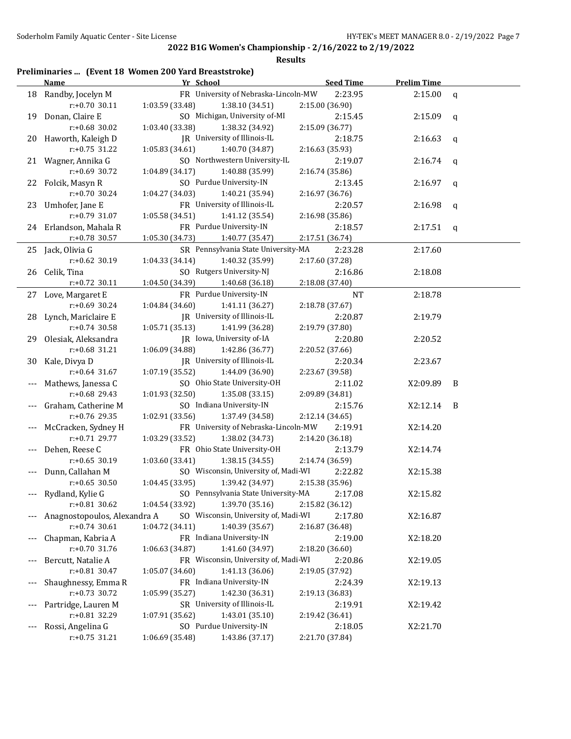#### **Results**

## **Preliminaries ... (Event 18 Women 200 Yard Breaststroke)**

|       | <b>Name</b>                  | Yr School                                   | <b>Seed Time</b> | <b>Prelim Time</b> |              |
|-------|------------------------------|---------------------------------------------|------------------|--------------------|--------------|
|       | 18 Randby, Jocelyn M         | FR University of Nebraska-Lincoln-MW        | 2:23.95          | 2:15.00            | $\mathsf{q}$ |
|       | $r: +0.70$ 30.11             | 1:03.59 (33.48)<br>1:38.10 (34.51)          | 2:15.00 (36.90)  |                    |              |
|       | 19 Donan, Claire E           | SO Michigan, University of-MI               | 2:15.45          | 2:15.09            | q            |
|       | r:+0.68 30.02                | 1:03.40 (33.38)<br>1:38.32 (34.92)          | 2:15.09 (36.77)  |                    |              |
|       | 20 Haworth, Kaleigh D        | JR University of Illinois-IL                | 2:18.75          | 2:16.63            | q            |
|       | $r: +0.75$ 31.22             | 1:05.83 (34.61)<br>1:40.70 (34.87)          | 2:16.63 (35.93)  |                    |              |
|       | 21 Wagner, Annika G          | SO Northwestern University-IL               | 2:19.07          | 2:16.74            | q            |
|       | r:+0.69 30.72                | 1:04.89 (34.17)<br>1:40.88 (35.99)          | 2:16.74 (35.86)  |                    |              |
|       | 22 Folcik, Masyn R           | SO Purdue University-IN                     | 2:13.45          | 2:16.97            | q            |
|       | $r: +0.70$ 30.24             | 1:04.27 (34.03)<br>1:40.21 (35.94)          | 2:16.97 (36.76)  |                    |              |
|       | 23 Umhofer, Jane E           | FR University of Illinois-IL                | 2:20.57          | 2:16.98            | q            |
|       | r:+0.79 31.07                | 1:05.58 (34.51)<br>1:41.12 (35.54)          | 2:16.98 (35.86)  |                    |              |
|       | 24 Erlandson, Mahala R       | FR Purdue University-IN                     | 2:18.57          | 2:17.51            | q            |
|       | r:+0.78 30.57                | 1:05.30 (34.73)<br>1:40.77 (35.47)          | 2:17.51 (36.74)  |                    |              |
|       | 25 Jack, Olivia G            | SR Pennsylvania State University-MA         | 2:23.28          | 2:17.60            |              |
|       | $r.+0.62$ 30.19              | 1:04.33 (34.14)<br>1:40.32 (35.99)          | 2:17.60 (37.28)  |                    |              |
|       | 26 Celik, Tina               | SO Rutgers University-NJ                    | 2:16.86          | 2:18.08            |              |
|       | $r: +0.72$ 30.11             | 1:04.50 (34.39)<br>1:40.68 (36.18)          | 2:18.08 (37.40)  |                    |              |
|       | 27 Love, Margaret E          | FR Purdue University-IN                     | NT               | 2:18.78            |              |
|       | $r: +0.69$ 30.24             | 1:04.84 (34.60)<br>1:41.11 (36.27)          | 2:18.78 (37.67)  |                    |              |
|       | 28 Lynch, Mariclaire E       | JR University of Illinois-IL                | 2:20.87          | 2:19.79            |              |
|       | $r: +0.74$ 30.58             | 1:05.71 (35.13)<br>1:41.99 (36.28)          | 2:19.79 (37.80)  |                    |              |
|       | 29 Olesiak, Aleksandra       | JR Iowa, University of-IA                   | 2:20.80          | 2:20.52            |              |
|       | r:+0.68 31.21                | 1:06.09 (34.88)<br>1:42.86 (36.77)          | 2:20.52 (37.66)  |                    |              |
| 30    | Kale, Divya D                | JR University of Illinois-IL                | 2:20.34          | 2:23.67            |              |
|       | $r: +0.64$ 31.67             | 1:07.19 (35.52)<br>1:44.09 (36.90)          | 2:23.67 (39.58)  |                    |              |
|       | Mathews, Janessa C           | SO Ohio State University-OH                 | 2:11.02          | X2:09.89           | B            |
|       | r:+0.68 29.43                | 1:01.93 (32.50)<br>1:35.08 (33.15)          | 2:09.89 (34.81)  |                    |              |
|       | Graham, Catherine M          | SO Indiana University-IN                    | 2:15.76          | X2:12.14           | B            |
|       | r:+0.76 29.35                | 1:02.91 (33.56)<br>1:37.49 (34.58)          | 2:12.14 (34.65)  |                    |              |
| $---$ | McCracken, Sydney H          | FR University of Nebraska-Lincoln-MW        | 2:19.91          | X2:14.20           |              |
|       | r:+0.71 29.77                | 1:03.29 (33.52)<br>1:38.02 (34.73)          | 2:14.20 (36.18)  |                    |              |
|       | Dehen, Reese C               | FR Ohio State University-OH                 | 2:13.79          | X2:14.74           |              |
|       | $r: +0.65$ 30.19             | 1:03.60 (33.41)<br>1:38.15 (34.55)          | 2:14.74 (36.59)  |                    |              |
|       | Dunn, Callahan M             | SO Wisconsin, University of, Madi-WI        | 2:22.82          | X2:15.38           |              |
|       | $r: +0.65$ 30.50             | 1:04.45(33.95)<br>1:39.42 (34.97)           | 2:15.38 (35.96)  |                    |              |
|       | --- Rydland, Kylie G         | SO Pennsylvania State University-MA 2:17.08 |                  | X2:15.82           |              |
|       | $r: +0.81$ 30.62             | 1:04.54 (33.92)<br>1:39.70 (35.16)          | 2:15.82 (36.12)  |                    |              |
|       | Anagnostopoulos, Alexandra A | SO Wisconsin, University of, Madi-WI        | 2:17.80          | X2:16.87           |              |
|       | $r: +0.74$ 30.61             | 1:04.72 (34.11)<br>1:40.39 (35.67)          | 2:16.87 (36.48)  |                    |              |
| $---$ | Chapman, Kabria A            | FR Indiana University-IN                    | 2:19.00          | X2:18.20           |              |
|       | r:+0.70 31.76                | 1:41.60 (34.97)<br>1:06.63 (34.87)          | 2:18.20 (36.60)  |                    |              |
|       | Bercutt, Natalie A           | FR Wisconsin, University of, Madi-WI        | 2:20.86          | X2:19.05           |              |
|       | $r: +0.81$ 30.47             | 1:41.13 (36.06)<br>1:05.07 (34.60)          | 2:19.05 (37.92)  |                    |              |
|       | Shaughnessy, Emma R          | FR Indiana University-IN                    | 2:24.39          | X2:19.13           |              |
|       | r:+0.73 30.72                | 1:05.99 (35.27)<br>1:42.30 (36.31)          | 2:19.13 (36.83)  |                    |              |
| $---$ | Partridge, Lauren M          | SR University of Illinois-IL                | 2:19.91          | X2:19.42           |              |
|       | r:+0.81 32.29                | 1:43.01 (35.10)<br>1:07.91 (35.62)          | 2:19.42 (36.41)  |                    |              |
| $---$ | Rossi, Angelina G            | SO Purdue University-IN                     | 2:18.05          | X2:21.70           |              |
|       | r:+0.75 31.21                | 1:43.86 (37.17)<br>1:06.69 (35.48)          | 2:21.70 (37.84)  |                    |              |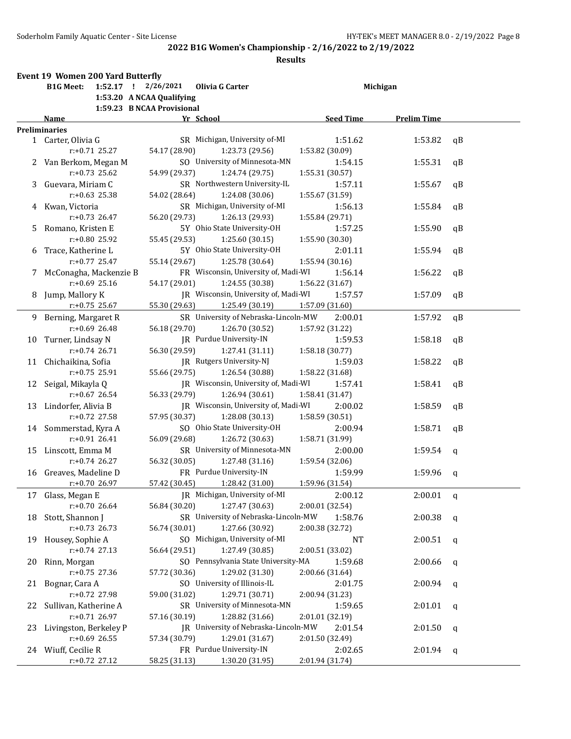|    | Soderholm Family Aquatic Center - Site License | 2022 B1G Women's Championship - 2/16/2022 to 2/19/2022                   |                            | HY-TEK's MEET MANAGER 8.0 - 2/ |    |
|----|------------------------------------------------|--------------------------------------------------------------------------|----------------------------|--------------------------------|----|
|    |                                                |                                                                          | <b>Results</b>             |                                |    |
|    | Event 19 Women 200 Yard Butterfly              |                                                                          |                            |                                |    |
|    | <b>B1G Meet:</b><br>$1:52.17$ !                | 2/26/2021<br>Olivia G Carter                                             |                            | Michigan                       |    |
|    |                                                | 1:53.20 A NCAA Qualifying                                                |                            |                                |    |
|    |                                                | 1:59.23 B NCAA Provisional                                               |                            |                                |    |
|    | Name                                           | Yr School                                                                | <b>Seed Time</b>           | <b>Prelim Time</b>             |    |
|    | <b>Preliminaries</b>                           | SR Michigan, University of-MI                                            |                            |                                |    |
|    | 1 Carter, Olivia G                             |                                                                          | 1:51.62                    | 1:53.82                        | qB |
|    | $r: +0.71$ 25.27                               | 54.17 (28.90)<br>1:23.73 (29.56)<br>SO University of Minnesota-MN        | 1:53.82 (30.09)            |                                |    |
| 2  | Van Berkom, Megan M<br>$r: +0.73$ 25.62        | 54.99 (29.37)<br>1:24.74 (29.75)                                         | 1:54.15                    | 1:55.31                        | qB |
|    |                                                | SR Northwestern University-IL                                            | 1:55.31 (30.57)            |                                |    |
| 3  | Guevara, Miriam C<br>$r: +0.63$ 25.38          | 54.02 (28.64)<br>1:24.08 (30.06)                                         | 1:57.11<br>1:55.67 (31.59) | 1:55.67                        | qB |
|    |                                                |                                                                          |                            |                                |    |
| 4  | Kwan, Victoria<br>$r: +0.73$ 26.47             | SR Michigan, University of-MI                                            | 1:56.13                    | 1:55.84                        | qB |
|    |                                                | 56.20 (29.73)<br>1:26.13 (29.93)<br>5Y Ohio State University-OH          | 1:55.84 (29.71)            |                                |    |
| 5  | Romano, Kristen E<br>r:+0.80 25.92             | 1:25.60(30.15)                                                           | 1:57.25                    | 1:55.90                        | qB |
|    |                                                | 55.45 (29.53)<br>5Y Ohio State University-OH                             | 1:55.90 (30.30)            |                                |    |
| 6  | Trace, Katherine L<br>$r: +0.77$ 25.47         |                                                                          | 2:01.11                    | 1:55.94                        | qB |
|    |                                                | 55.14 (29.67)<br>1:25.78 (30.64)<br>FR Wisconsin, University of, Madi-WI | 1:55.94 (30.16)            |                                |    |
| 7  | McConagha, Mackenzie B<br>$r: +0.69$ 25.16     |                                                                          | 1:56.14<br>1:56.22 (31.67) | 1:56.22                        | qB |
|    |                                                | 54.17 (29.01)<br>1:24.55 (30.38)                                         |                            |                                |    |
| 8  | Jump, Mallory K<br>r:+0.75 25.67               | JR Wisconsin, University of, Madi-WI                                     | 1:57.57                    | 1:57.09                        | qB |
|    |                                                | 55.30 (29.63)<br>1:25.49 (30.19)                                         | 1:57.09 (31.60)            |                                |    |
| 9  | Berning, Margaret R                            | SR University of Nebraska-Lincoln-MW                                     | 2:00.01                    | 1:57.92                        | qB |
|    | $r: +0.69$ 26.48                               | 56.18 (29.70)<br>1:26.70 (30.52)                                         | 1:57.92 (31.22)            |                                |    |
| 10 | Turner, Lindsay N                              | JR Purdue University-IN                                                  | 1:59.53                    | 1:58.18                        | qB |
|    | $r: +0.74$ 26.71                               | 56.30 (29.59)<br>1:27.41(31.11)                                          | 1:58.18 (30.77)            |                                |    |
| 11 | Chichaikina, Sofia                             | JR Rutgers University-NJ                                                 | 1:59.03                    | 1:58.22                        | qB |
|    | $r: +0.75$ 25.91                               | 55.66 (29.75)<br>1:26.54 (30.88)                                         | 1:58.22 (31.68)            |                                |    |
| 12 | Seigal, Mikayla Q                              | JR Wisconsin, University of, Madi-WI                                     | 1:57.41                    | 1:58.41                        | qB |
|    | $r: +0.67$ 26.54                               | 56.33 (29.79)<br>1:26.94 (30.61)                                         | 1:58.41 (31.47)            |                                |    |
| 13 | Lindorfer, Alivia B                            | JR Wisconsin, University of, Madi-WI                                     | 2:00.02                    | 1:58.59                        | qB |
|    | $r: +0.72$ 27.58                               | 57.95 (30.37)<br>1:28.08 (30.13)                                         | 1:58.59 (30.51)            |                                |    |
| 14 | Sommerstad, Kyra A                             | SO Ohio State University-OH                                              | 2:00.94                    | 1:58.71                        | qB |
|    | $r: +0.91$ 26.41                               | 56.09 (29.68)<br>1:26.72 (30.63)                                         | 1:58.71 (31.99)            |                                |    |
| 15 | Linscott, Emma M                               | SR University of Minnesota-MN                                            | 2:00.00                    | 1:59.54                        | q  |
|    | $r: +0.74$ 26.27                               | 1:27.48 (31.16)<br>56.32 (30.05)                                         | 1:59.54 (32.06)            |                                |    |
| 16 | Greaves, Madeline D                            | FR Purdue University-IN                                                  | 1:59.99                    | 1:59.96                        | q  |
|    | $r: +0.70$ 26.97                               | 1:28.42 (31.00)<br>57.42 (30.45)                                         | 1:59.96 (31.54)            |                                |    |
| 17 | Glass, Megan E                                 | JR Michigan, University of-MI                                            | 2:00.12                    | 2:00.01                        | q  |
|    | r:+0.70 26.64                                  | 56.84 (30.20)<br>1:27.47 (30.63)                                         | 2:00.01 (32.54)            |                                |    |
| 18 | Stott, Shannon J                               | SR University of Nebraska-Lincoln-MW                                     | 1:58.76                    | 2:00.38                        | q  |
|    | $r: +0.73$ 26.73                               | 1:27.66 (30.92)<br>56.74 (30.01)                                         | 2:00.38 (32.72)            |                                |    |
| 19 | Housey, Sophie A                               | SO Michigan, University of-MI                                            | NT                         | 2:00.51                        | q  |
|    | $r: +0.74$ 27.13                               | 1:27.49 (30.85)<br>56.64 (29.51)                                         | 2:00.51 (33.02)            |                                |    |
| 20 | Rinn, Morgan                                   | SO Pennsylvania State University-MA                                      | 1:59.68                    | 2:00.66                        | q  |
|    | $r: +0.75$ 27.36                               | 1:29.02 (31.30)<br>57.72 (30.36)                                         | 2:00.66 (31.64)            |                                |    |
| 21 | Bognar, Cara A                                 | SO University of Illinois-IL                                             | 2:01.75                    | 2:00.94                        | q  |
|    | r:+0.72 27.98                                  | 59.00 (31.02)<br>1:29.71 (30.71)                                         | 2:00.94 (31.23)            |                                |    |
|    | 22 Sullivan, Katherine A                       | SR University of Minnesota-MN                                            | 1:59.65                    | 2:01.01                        | q  |

r:+0.71 26.97 57.16 (30.19) 1:28.82 (31.66) 2:01.01 (32.19)

r:+0.69 26.55 57.34 (30.79) 1:29.01 (31.67) 2:01.50 (32.49)

r:+0.72 27.12 58.25 (31.13) 1:30.20 (31.95) 2:01.94 (31.74)

23 Livingston, Berkeley P JR University of Nebraska-Lincoln-MW 2:01.54 2:01.50 q

24 Wiuff, Cecilie R FR Purdue University-IN 2:02.65 2:01.94 q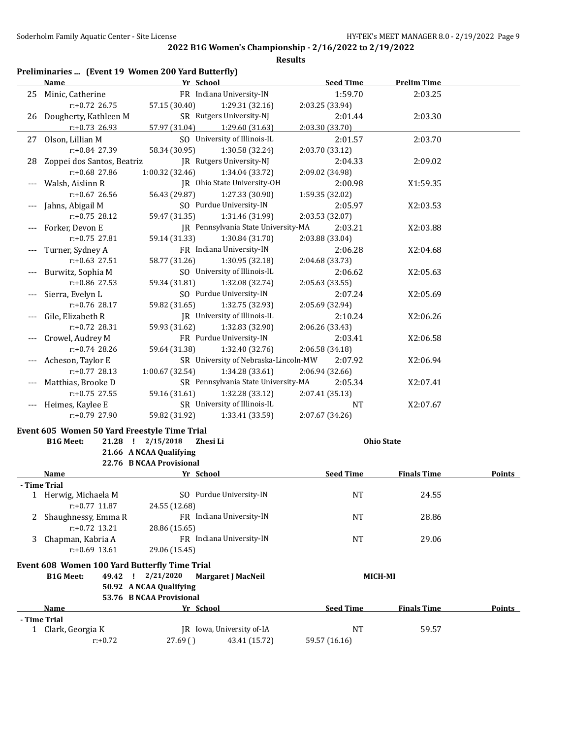|    | Preliminaries  (Event 19 Women 200 Yard Butterfly) |                                                     |                                      |                  |                    |               |
|----|----------------------------------------------------|-----------------------------------------------------|--------------------------------------|------------------|--------------------|---------------|
|    | Name                                               | Yr School                                           |                                      | <b>Seed Time</b> | <b>Prelim Time</b> |               |
| 25 | Minic, Catherine                                   |                                                     | FR Indiana University-IN             | 1:59.70          | 2:03.25            |               |
|    | $r: +0.72$ 26.75                                   | 57.15 (30.40)                                       | 1:29.31 (32.16)                      | 2:03.25 (33.94)  |                    |               |
| 26 | Dougherty, Kathleen M                              |                                                     | SR Rutgers University-NJ             | 2:01.44          | 2:03.30            |               |
|    | $r: +0.73$ 26.93                                   | 57.97 (31.04)                                       | 1:29.60 (31.63)                      | 2:03.30 (33.70)  |                    |               |
| 27 | Olson, Lillian M                                   |                                                     | SO University of Illinois-IL         | 2:01.57          | 2:03.70            |               |
|    | r:+0.84 27.39                                      | 58.34 (30.95)                                       | 1:30.58 (32.24)                      | 2:03.70 (33.12)  |                    |               |
| 28 | Zoppei dos Santos, Beatriz                         |                                                     | [R Rutgers University-N]             | 2:04.33          | 2:09.02            |               |
|    | $r: +0.68$ 27.86                                   | 1:00.32 (32.46)                                     | 1:34.04 (33.72)                      | 2:09.02 (34.98)  |                    |               |
|    | Walsh, Aislinn R                                   |                                                     | JR Ohio State University-OH          | 2:00.98          | X1:59.35           |               |
|    | $r: +0.67$ 26.56                                   | 56.43 (29.87)                                       | 1:27.33 (30.90)                      | 1:59.35 (32.02)  |                    |               |
|    | Jahns, Abigail M                                   |                                                     | SO Purdue University-IN              | 2:05.97          | X2:03.53           |               |
|    | $r: +0.75$ 28.12                                   | 59.47 (31.35)                                       | 1:31.46 (31.99)                      | 2:03.53 (32.07)  |                    |               |
|    | Forker, Devon E                                    |                                                     | JR Pennsylvania State University-MA  | 2:03.21          | X2:03.88           |               |
|    | r:+0.75 27.81                                      | 59.14 (31.33)                                       | 1:30.84 (31.70)                      | 2:03.88 (33.04)  |                    |               |
|    | Turner, Sydney A                                   |                                                     | FR Indiana University-IN             | 2:06.28          | X2:04.68           |               |
|    | $r: +0.63$ 27.51                                   | 58.77 (31.26)                                       | 1:30.95 (32.18)                      | 2:04.68 (33.73)  |                    |               |
|    | Burwitz, Sophia M                                  |                                                     | SO University of Illinois-IL         | 2:06.62          | X2:05.63           |               |
|    | r:+0.86 27.53                                      | 59.34 (31.81)                                       | 1:32.08 (32.74)                      | 2:05.63 (33.55)  |                    |               |
|    | Sierra, Evelyn L                                   |                                                     | SO Purdue University-IN              | 2:07.24          | X2:05.69           |               |
|    | r:+0.76 28.17                                      | 59.82 (31.65)                                       | 1:32.75 (32.93)                      | 2:05.69 (32.94)  |                    |               |
|    | Gile, Elizabeth R                                  |                                                     | JR University of Illinois-IL         | 2:10.24          | X2:06.26           |               |
|    | $r: +0.72$ 28.31                                   | 59.93 (31.62)                                       | 1:32.83 (32.90)                      | 2:06.26 (33.43)  |                    |               |
|    | Crowel, Audrey M                                   |                                                     | FR Purdue University-IN              | 2:03.41          | X2:06.58           |               |
|    | r:+0.74 28.26                                      | 59.64 (31.38)                                       | 1:32.40 (32.76)                      | 2:06.58 (34.18)  |                    |               |
|    | Acheson, Taylor E                                  |                                                     | SR University of Nebraska-Lincoln-MW | 2:07.92          | X2:06.94           |               |
|    | $r: +0.77$ 28.13                                   | 1:00.67 (32.54)                                     | 1:34.28 (33.61)                      | 2:06.94 (32.66)  |                    |               |
|    | Matthias, Brooke D                                 |                                                     | SR Pennsylvania State University-MA  | 2:05.34          | X2:07.41           |               |
|    | $r: +0.75$ 27.55                                   | 59.16 (31.61)                                       | 1:32.28 (33.12)                      | 2:07.41 (35.13)  |                    |               |
|    | Heimes, Kaylee E                                   |                                                     | SR University of Illinois-IL         | NT               | X2:07.67           |               |
|    | $r: +0.79$ 27.90                                   | 59.82 (31.92)                                       | 1:33.41 (33.59)                      | 2:07.67 (34.26)  |                    |               |
|    | Event 605 Women 50 Yard Freestyle Time Trial       |                                                     |                                      |                  |                    |               |
|    | <b>B1G Meet:</b>                                   | 21.28 ! 2/15/2018<br>Zhesi Li                       |                                      |                  | <b>Ohio State</b>  |               |
|    |                                                    | 21.66 A NCAA Qualifying                             |                                      |                  |                    |               |
|    |                                                    | 22.76 B NCAA Provisional                            |                                      |                  |                    |               |
|    | <u>Name</u>                                        | Yr School                                           |                                      | <b>Seed Time</b> | <b>Finals Time</b> | <b>Points</b> |
|    | - Time Trial                                       |                                                     |                                      |                  |                    |               |
|    | 1 Herwig, Michaela M<br>r:+0.77 11.87              | 24.55 (12.68)                                       | SO Purdue University-IN              | <b>NT</b>        | 24.55              |               |
| 2  | Shaughnessy, Emma R<br>$r: +0.72$ 13.21            | 28.86 (15.65)                                       | FR Indiana University-IN             | <b>NT</b>        | 28.86              |               |
| 3  | Chapman, Kabria A                                  |                                                     | FR Indiana University-IN             | <b>NT</b>        | 29.06              |               |
|    | $r: +0.69$ 13.61                                   | 29.06 (15.45)                                       |                                      |                  |                    |               |
|    | Event 608 Women 100 Yard Butterfly Time Trial      |                                                     |                                      |                  |                    |               |
|    | <b>B1G Meet:</b><br>49.42 !                        | 2/21/2020                                           | Margaret J MacNeil                   | <b>MICH-MI</b>   |                    |               |
|    |                                                    | 50.92 A NCAA Qualifying<br>53.76 B NCAA Provisional |                                      |                  |                    |               |
|    | Name                                               | <u>Yr School</u>                                    |                                      | <b>Seed Time</b> | <b>Finals Time</b> | Points        |
|    | - Time Trial                                       |                                                     |                                      |                  |                    |               |
| 1  | Clark, Georgia K                                   |                                                     | JR Iowa, University of-IA            | <b>NT</b>        | 59.57              |               |
|    | $r: +0.72$                                         | 27.69()                                             | 43.41 (15.72)                        | 59.57 (16.16)    |                    |               |
|    |                                                    |                                                     |                                      |                  |                    |               |